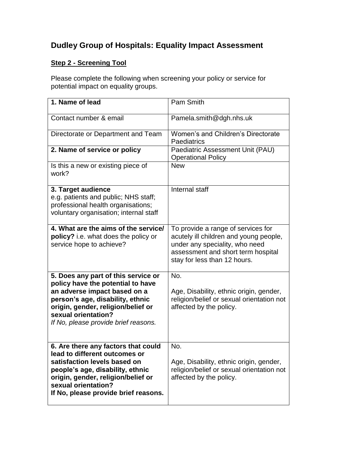## **Dudley Group of Hospitals: Equality Impact Assessment**

## **Step 2 - Screening Tool**

Please complete the following when screening your policy or service for potential impact on equality groups.

| 1. Name of lead                                                                                                                                                                                                                                   | Pam Smith                                                                                                                                                                            |
|---------------------------------------------------------------------------------------------------------------------------------------------------------------------------------------------------------------------------------------------------|--------------------------------------------------------------------------------------------------------------------------------------------------------------------------------------|
| Contact number & email                                                                                                                                                                                                                            | Pamela.smith@dgh.nhs.uk                                                                                                                                                              |
| Directorate or Department and Team                                                                                                                                                                                                                | Women's and Children's Directorate<br>Paediatrics                                                                                                                                    |
| 2. Name of service or policy                                                                                                                                                                                                                      | Paediatric Assessment Unit (PAU)<br><b>Operational Policy</b>                                                                                                                        |
| Is this a new or existing piece of<br>work?                                                                                                                                                                                                       | <b>New</b>                                                                                                                                                                           |
| 3. Target audience<br>e.g. patients and public; NHS staff;<br>professional health organisations;<br>voluntary organisation; internal staff                                                                                                        | Internal staff                                                                                                                                                                       |
| 4. What are the aims of the service/<br>policy? i.e. what does the policy or<br>service hope to achieve?                                                                                                                                          | To provide a range of services for<br>acutely ill children and young people,<br>under any speciality, who need<br>assessment and short term hospital<br>stay for less than 12 hours. |
| 5. Does any part of this service or<br>policy have the potential to have<br>an adverse impact based on a<br>person's age, disability, ethnic<br>origin, gender, religion/belief or<br>sexual orientation?<br>If No, please provide brief reasons. | No.<br>Age, Disability, ethnic origin, gender,<br>religion/belief or sexual orientation not<br>affected by the policy.                                                               |
| 6. Are there any factors that could<br>lead to different outcomes or<br>satisfaction levels based on<br>people's age, disability, ethnic<br>origin, gender, religion/belief or<br>sexual orientation?<br>If No, please provide brief reasons.     | No.<br>Age, Disability, ethnic origin, gender,<br>religion/belief or sexual orientation not<br>affected by the policy.                                                               |